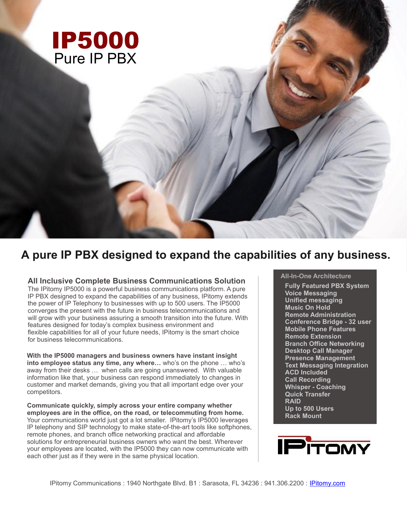

# **A pure IP PBX designed to expand the capabilities of any business.**

**All Inclusive Complete Business Communications Solution**

The IPitomy IP5000 is a powerful business communications platform. A pure IP PBX designed to expand the capabilities of any business, IPitomy extends the power of IP Telephony to businesses with up to 500 users. The IP5000 converges the present with the future in business telecommunications and will grow with your business assuring a smooth transition into the future. With features designed for today's complex business environment and flexible capabilities for all of your future needs, IPitomy is the smart choice for business telecommunications.

**With the IP5000 managers and business owners have instant insight into employee status any time, any where…** who's on the phone … who's away from their desks … when calls are going unanswered. With valuable information like that, your business can respond immediately to changes in customer and market demands, giving you that all important edge over your competitors.

**Communicate quickly, simply across your entire company whether employees are in the office, on the road, or telecommuting from home.** Your communications world just got a lot smaller. IPitomy's IP5000 leverages IP telephony and SIP technology to make state-of-the-art tools like softphones, remote phones, and branch office networking practical and affordable solutions for entrepreneurial business owners who want the best. Wherever your employees are located, with the IP5000 they can now communicate with each other just as if they were in the same physical location.

# **All-In-One Architecture**

**Fully Featured PBX System Voice Messaging Unified messaging Music On Hold Remote Administration Conference Bridge - 32 user Mobile Phone Features Remote Extension Branch Office Networking Desktop Call Manager Presence Management Text Messaging Integration ACD Included Call Recording Whisper - Coaching Quick Transfer RAID Up to 500 Users Rack Mount**